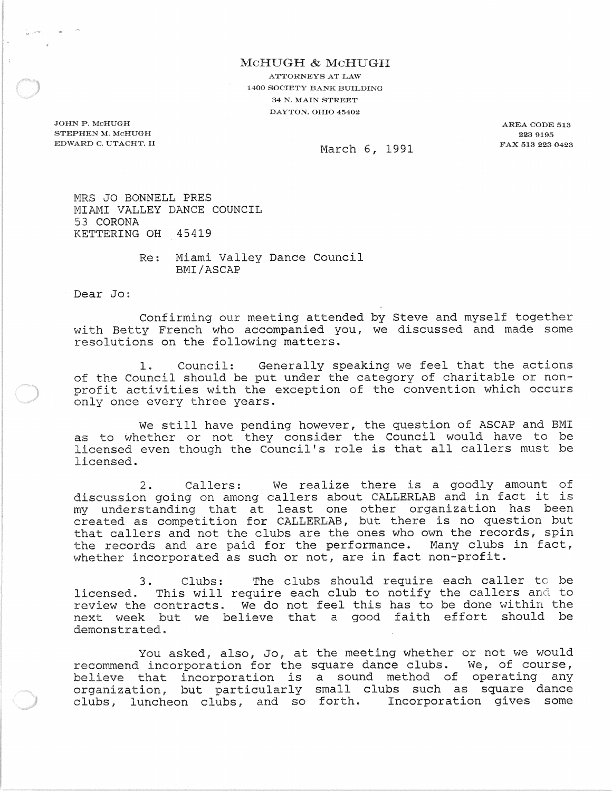## McHUGH & McHUGH

ATTORNEYS AT LAW 1400 SOCIETY BANK BUILDING 34 N. MAIN STREET DAYTON. OHIO 45402

JOHN P. McHUGH STEPHEN M. MCHUGH EDWARD C. UTACHT. II

AREA CODE 513 2239195 FAX 513 223 0423

March 6, 1991

MRS JO BONNELL PRES MIAMI VALLEY DANCE COUNCIL 53 CORONA KETTERING OH 45419

> Re: Miami Valley Dance Council BMI/ASCAP

Dear Jo:

Confirming our meeting attended by Steve and myself together with Betty French who accompanied you, we discussed and made some resolutions on the following matters.

1. Council: Generally speaking we feel that the actions of the Council should be put under the category of charitable or nonprofit activities with the exception of the convention which occurs only once every three years.

We still have pending however, the question of ASCAP and BMI as to whether or not they consider the Council would have to be licensed even though the Council's role is that all callers must be licensed.

2. Callers: We realize there is a goodly amount of discussion going on among callers about CALLERLAB and in fact it is my understanding that at least one other organization has been created as competition for CALLERLAB, but there is no question but that callers and not the clubs are the ones who own the records, spin the records and are paid for the performance. Many clubs in fact, whether incorporated as such or not, are in fact non-profit.

3. Clubs: The clubs should require each caller to be licensed. This will require each club to notify review the contracts. We do not feel this has to next week but we believe that a good faith effort should be demonstrated. the callers and to be done within the

You asked, also, Jo, at the meeting whether or not we would recommend incorporation for the square dance clubs. We, of course, believe that incorporation is a sound method of operating any organization, but particularly small clubs such as square dance clubs, luncheon clubs, and so forth. Incorporation gives some